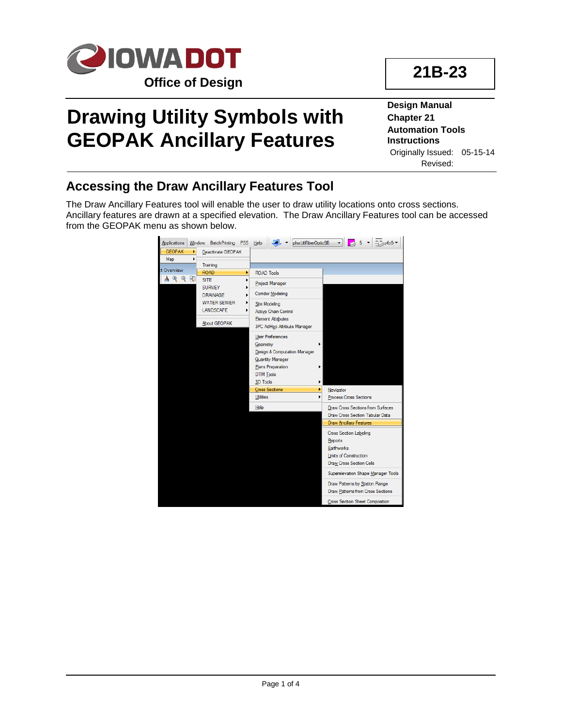

## **21B-23**

# **Drawing Utility Symbols with GEOPAK Ancillary Features**

**Design Manual Chapter 21 Automation Tools Instructions** Originally Issued: 05-15-14 Revised:

#### **Accessing the Draw Ancillary Features Tool**

The Draw Ancillary Features tool will enable the user to draw utility locations onto cross sections. Ancillary features are drawn at a specified elevation. The Draw Ancillary Features tool can be accessed from the GEOPAK menu as shown below.

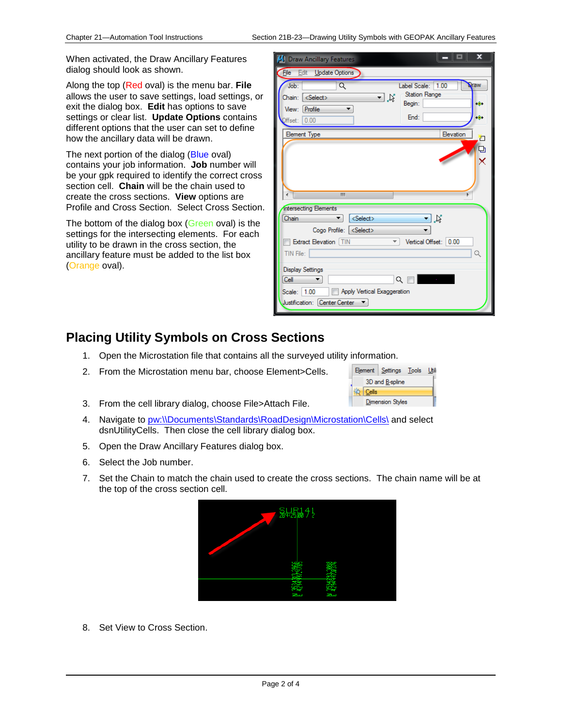When activated, the Draw Ancillary Features dialog should look as shown.

Along the top (Red oval) is the menu bar. **File** allows the user to save settings, load settings, or exit the dialog box. **Edit** has options to save settings or clear list. **Update Options** contains different options that the user can set to define how the ancillary data will be drawn.

The next portion of the dialog (Blue oval) contains your job information. **Job** number will be your gpk required to identify the correct cross section cell. **Chain** will be the chain used to create the cross sections. **View** options are Profile and Cross Section. Select Cross Section.

The bottom of the dialog box (Green oval) is the settings for the intersecting elements. For each utility to be drawn in the cross section, the ancillary feature must be added to the list box (Orange oval).

| ×<br><b>S</b> Draw Ancillary Features                                                                                                                                                                                             |
|-----------------------------------------------------------------------------------------------------------------------------------------------------------------------------------------------------------------------------------|
| File<br>Edit<br>Update Options                                                                                                                                                                                                    |
| 1.00<br>Q<br>Job:<br>Label Scale:<br><b>Draw</b><br><b>Station Range</b><br>ฃ่∦<br><select><br/>Chain:<br/>Begin:<br/>ю.<br/>Profile<br/>View:<br/>۰.<br/>End:<br/>۱Ô٠<br/>0.00<br/>Hset:</select>                                |
| <b>Element Type</b><br>Elevation<br>四口区<br>Ш<br>K.                                                                                                                                                                                |
| ∢<br><b>Intersecting Elements</b><br>コ以<br><select><br/>Chain<br/>Cogo Profile: <select><br/><b>Extract Elevation TIN</b><br/>Vertical Offset: 0.00<br/><math>\overline{\phantom{a}}</math><br/>Q<br/>TIN File:</select></select> |
| <b>Display Settings</b><br>འ ल<br><b>Contractor</b><br>Cell<br>▼<br>Apply Vertical Exaggeration<br>Scale: 1.00<br>Justification: Center Center                                                                                    |

#### **Placing Utility Symbols on Cross Sections**

- 1. Open the Microstation file that contains all the surveyed utility information.
- 2. From the Microstation menu bar, choose Element>Cells.
- 3. From the cell library dialog, choose File>Attach File.
- 4. Navigate to [pw:\\Documents\Standards\RoadDesign\Microstation\Cells\](pw:\\projectwise.dot.int.lan:PWMain\Documents\Standards\RoadDesign\Microstation\Cells\) and select dsnUtilityCells. Then close the cell library dialog box.
- 5. Open the Draw Ancillary Features dialog box.
- 6. Select the Job number.
- 7. Set the Chain to match the chain used to create the cross sections. The chain name will be at the top of the cross section cell.



8. Set View to Cross Section.

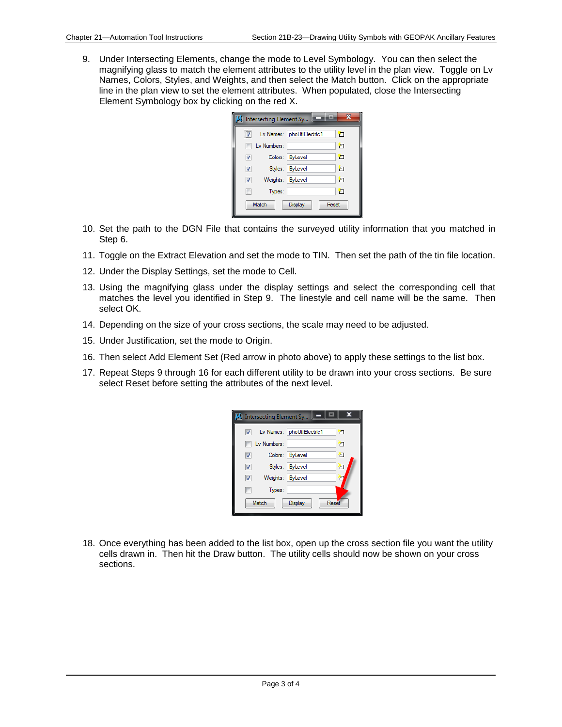9. Under Intersecting Elements, change the mode to Level Symbology. You can then select the magnifying glass to match the element attributes to the utility level in the plan view. Toggle on Lv Names, Colors, Styles, and Weights, and then select the Match button. Click on the appropriate line in the plan view to set the element attributes. When populated, close the Intersecting Element Symbology box by clicking on the red X.

|                                  |                  | Intersecting Element Sy   |    |  |
|----------------------------------|------------------|---------------------------|----|--|
|                                  |                  | Lv Names: phoUtIElectric1 | Ł  |  |
|                                  | Lv Numbers:      |                           | 'n |  |
| $\overline{\mathsf{v}}$          |                  | Colors: ByLevel           | ħ  |  |
| $\overline{\mathsf{v}}$          |                  | Styles: ByLevel           | 'n |  |
| ⊽                                | Weights: ByLevel |                           | YП |  |
|                                  | Types:           |                           | F  |  |
| Match<br>Reset<br><b>Display</b> |                  |                           |    |  |

- 10. Set the path to the DGN File that contains the surveyed utility information that you matched in Step 6.
- 11. Toggle on the Extract Elevation and set the mode to TIN. Then set the path of the tin file location.
- 12. Under the Display Settings, set the mode to Cell.
- 13. Using the magnifying glass under the display settings and select the corresponding cell that matches the level you identified in Step 9. The linestyle and cell name will be the same. Then select OK.
- 14. Depending on the size of your cross sections, the scale may need to be adjusted.
- 15. Under Justification, set the mode to Origin.
- 16. Then select Add Element Set (Red arrow in photo above) to apply these settings to the list box.
- 17. Repeat Steps 9 through 16 for each different utility to be drawn into your cross sections. Be sure select Reset before setting the attributes of the next level.

|                                  |                  | S Intersecting Element Sy   |    |  |
|----------------------------------|------------------|-----------------------------|----|--|
| V                                |                  | Lv Names:   phoUtIElectric1 | 'n |  |
|                                  | Lv Numbers:      |                             | 'n |  |
| ⊽                                |                  | Colors: ByLevel             | Ł  |  |
| ⊽                                |                  | Styles: ByLevel             | ۳  |  |
| ⊽                                | Weights: ByLevel |                             |    |  |
|                                  | Types:           |                             |    |  |
| Reset<br>Match<br><b>Display</b> |                  |                             |    |  |

18. Once everything has been added to the list box, open up the cross section file you want the utility cells drawn in. Then hit the Draw button. The utility cells should now be shown on your cross sections.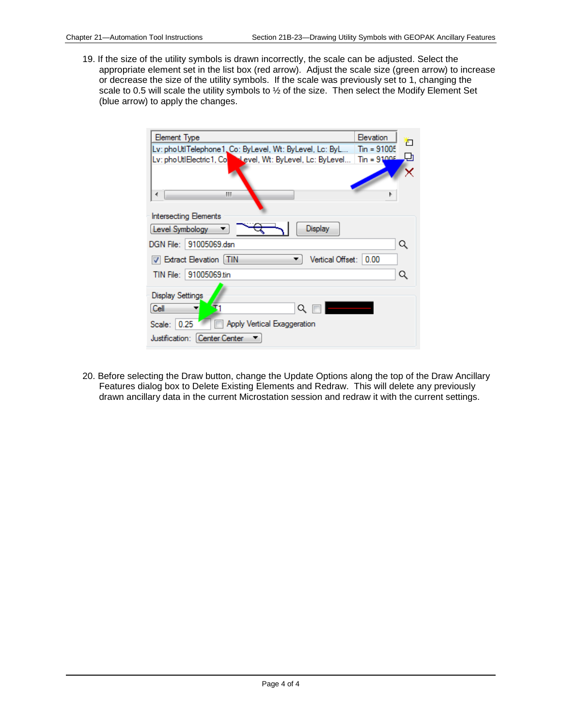19. If the size of the utility symbols is drawn incorrectly, the scale can be adjusted. Select the appropriate element set in the list box (red arrow). Adjust the scale size (green arrow) to increase or decrease the size of the utility symbols. If the scale was previously set to 1, changing the scale to 0.5 will scale the utility symbols to ½ of the size. Then select the Modify Element Set (blue arrow) to apply the changes.

| Element Type                                                      | Elevation             |  |  |  |  |
|-------------------------------------------------------------------|-----------------------|--|--|--|--|
| Lv: phoUtlTelephone1_Co: ByLevel, Wt: ByLevel, Lc: ByL            | п<br>$T_{in} = 91005$ |  |  |  |  |
| <b>Nevel, Wt: ByLevel, Lc: ByLevel</b><br>Lv: phoUtIElectric1, Co | $\text{Sin} = 91005$  |  |  |  |  |
|                                                                   |                       |  |  |  |  |
| Ш                                                                 |                       |  |  |  |  |
| <b>Intersecting Elements</b>                                      |                       |  |  |  |  |
| Display<br>Level Symbology                                        |                       |  |  |  |  |
| DGN File:   91005069.dsn                                          | Q                     |  |  |  |  |
| <b>V</b> Extract Elevation [TIN<br>Vertical Offset:               | 0.00                  |  |  |  |  |
| TIN File:   91005069.tin                                          | Q                     |  |  |  |  |
| <b>Display Settings</b>                                           |                       |  |  |  |  |
| Cell<br>Q                                                         |                       |  |  |  |  |
| Apply Vertical Exaggeration<br>0.25<br>Scale:                     |                       |  |  |  |  |
| Justification: Center Center                                      |                       |  |  |  |  |

20. Before selecting the Draw button, change the Update Options along the top of the Draw Ancillary Features dialog box to Delete Existing Elements and Redraw. This will delete any previously drawn ancillary data in the current Microstation session and redraw it with the current settings.